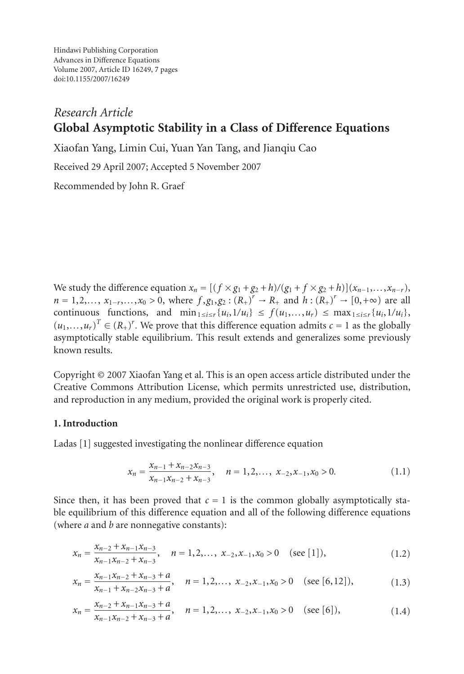Hindawi Publishing Corporation Advances in Difference Equations Volume 2007, Article ID 16249, [7](#page-6-0) pages doi:10.1155/2007/16249

# *Research Article* **Global Asymptotic Stability in a Class of Difference Equations**

Xiaofan Yang, Limin Cui, Yuan Yan Tang, and Jianqiu Cao

Received 29 April 2007; Accepted 5 November 2007

Recommended by John R. Graef

We study the difference equation  $x_n = [(f \times g_1 + g_2 + h)/(g_1 + f \times g_2 + h)](x_{n-1},...,x_{n-r}),$  $n = 1, 2, \ldots, x_{1-r}, \ldots, x_0 > 0$ , where  $f, g_1, g_2 : (R_+)^r \to R_+$  and  $h : (R_+)^r \to [0, +\infty)$  are all continuous functions and min  $\ldots$  {*u* 1/*u* } < *f* (*u*, *u*) < max,  $\ldots$  {*u* 1/*u* } continuous functions, and  $\min_{1 \le i \le r} \{u_i, 1/u_i\} \le f(u_1, \ldots, u_r) \le \max_{1 \le i \le r} \{u_i, 1/u_i\},\$  $(u_1, \ldots, u_r)^T \in (R_+)^r$ . We prove that this difference equation admits  $c = 1$  as the globally stable equilibrium. This result extends and generalizes some previously asymptotically stable equilibrium. This result extends and generalizes some previously known results.

Copyright © 2007 Xiaofan Yang et al. This is an open access article distributed under the Creative Commons Attribution License, which permits unrestricted use, distribution, and reproduction in any medium, provided the original work is properly cited.

# **1. Introduction**

Ladas [\[1](#page-6-1)] suggested investigating the nonlinear difference equation

<span id="page-0-0"></span>
$$
x_n = \frac{x_{n-1} + x_{n-2}x_{n-3}}{x_{n-1}x_{n-2} + x_{n-3}}, \quad n = 1, 2, \dots, \ x_{-2}, x_{-1}, x_0 > 0.
$$
 (1.1)

Since then, it has been proved that  $c = 1$  is the common globally asymptotically stable equilibrium of this difference equation and all of the following difference equations (where *a* and *b* are nonnegative constants):

$$
x_n = \frac{x_{n-2} + x_{n-1}x_{n-3}}{x_{n-1}x_{n-2} + x_{n-3}}, \quad n = 1, 2, ..., \ x_{-2}, x_{-1}, x_0 > 0 \quad (\text{see } [1]), \tag{1.2}
$$

$$
x_n = \frac{x_{n-1}x_{n-2} + x_{n-3} + a}{x_{n-1} + x_{n-2}x_{n-3} + a}, \quad n = 1, 2, ..., x_{-2}, x_{-1}, x_0 > 0 \quad (\text{see } [6, 12]),
$$
 (1.3)

$$
x_n = \frac{x_{n-2} + x_{n-1}x_{n-3} + a}{x_{n-1}x_{n-2} + x_{n-3} + a}, \quad n = 1, 2, ..., x_{-2}, x_{-1}, x_0 > 0 \quad (\text{see } [6]),
$$
 (1.4)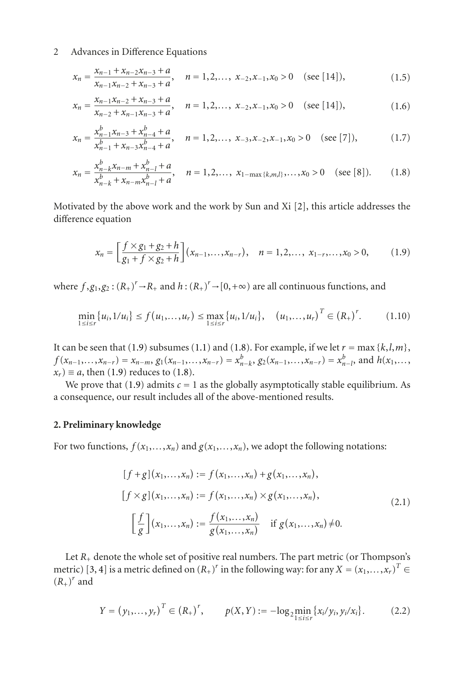### 2 Advances in Difference Equations

$$
x_n = \frac{x_{n-1} + x_{n-2}x_{n-3} + a}{x_{n-1}x_{n-2} + x_{n-3} + a}, \quad n = 1, 2, ..., x_{-2}, x_{-1}, x_0 > 0 \quad (\text{see } [14]), \tag{1.5}
$$

$$
x_n = \frac{x_{n-1}x_{n-2} + x_{n-3} + a}{x_{n-2} + x_{n-1}x_{n-3} + a}, \quad n = 1, 2, ..., \ x_{-2}, x_{-1}, x_0 > 0 \quad (\text{see } [14]), \tag{1.6}
$$

$$
x_n = \frac{x_{n-1}^b x_{n-3} + x_{n-4}^b + a}{x_{n-1}^b + x_{n-3} x_{n-4}^b + a}, \quad n = 1, 2, \dots, \ x_{-3}, x_{-2}, x_{-1}, x_0 > 0 \quad (\text{see [7]}),
$$
 (1.7)

$$
x_n = \frac{x_{n-k}^b x_{n-m} + x_{n-l}^b + a}{x_{n-k}^b + x_{n-m} x_{n-l}^b + a}, \quad n = 1, 2, ..., x_{1-\max\{k,m,l\}}, ..., x_0 > 0 \quad (\text{see } [8]). \tag{1.8}
$$

Motivated by the above work and the work by Sun and Xi [\[2\]](#page-6-2), this article addresses the difference equation

<span id="page-1-1"></span><span id="page-1-0"></span>
$$
x_n = \left[\frac{f \times g_1 + g_2 + h}{g_1 + f \times g_2 + h}\right](x_{n-1}, \ldots, x_{n-r}), \quad n = 1, 2, \ldots, x_{1-r}, \ldots, x_0 > 0, \tag{1.9}
$$

where  $f, g_1, g_2 : (R_+)^r \to R_+$  and  $h : (R_+)^r \to [0, +\infty)$  are all continuous functions, and

$$
\min_{1 \le i \le r} \{u_i, 1/u_i\} \le f(u_1, \dots, u_r) \le \max_{1 \le i \le r} \{u_i, 1/u_i\}, \quad (u_1, \dots, u_r)^T \in (R_+)^r. \tag{1.10}
$$

It can be seen that [\(1.9\)](#page-1-0) subsumes [\(1.1\)](#page-0-0) and [\(1.8\)](#page-1-1). For example, if we let  $r = \max\{k, l, m\}$ ,  $f(x_{n-1},...,x_{n-r}) = x_{n-m}, g_1(x_{n-1},...,x_{n-r}) = x_{n-k}^b, g_2(x_{n-1},...,x_{n-r}) = x_{n-l}^b,$  and  $h(x_1,...,x_{n-r}) = a$ , then (1.9) reduces to (1.8)  $x_r$   $\equiv a$ , then [\(1.9\)](#page-1-0) reduces to [\(1.8\)](#page-1-1).

We prove that  $(1.9)$  admits  $c = 1$  as the globally asymptotically stable equilibrium. As a consequence, our result includes all of the above-mentioned results.

#### **2. Preliminary knowledge**

For two functions,  $f(x_1,...,x_n)$  and  $g(x_1,...,x_n)$ , we adopt the following notations:

$$
[f+g](x_1,...,x_n) := f(x_1,...,x_n) + g(x_1,...,x_n),
$$
  
\n
$$
[f \times g](x_1,...,x_n) := f(x_1,...,x_n) \times g(x_1,...,x_n),
$$
  
\n
$$
\left[\frac{f}{g}\right](x_1,...,x_n) := \frac{f(x_1,...,x_n)}{g(x_1,...,x_n)} \quad \text{if } g(x_1,...,x_n) \neq 0.
$$
\n(2.1)

Let  $R_{+}$  denote the whole set of positive real numbers. The part metric (or Thompson's metric) [\[3](#page-6-3), [4](#page-6-4)] is a metric defined on  $(R_+)^r$  in the following way: for any  $X = (x_1, \ldots, x_r)^T \in$  $(R_+)^r$  and

$$
Y = (y_1, \dots, y_r)^T \in (R_+)^r, \qquad p(X, Y) := -\log_2 \min_{1 \le i \le r} \{x_i / y_i, y_i / x_i\}.
$$
 (2.2)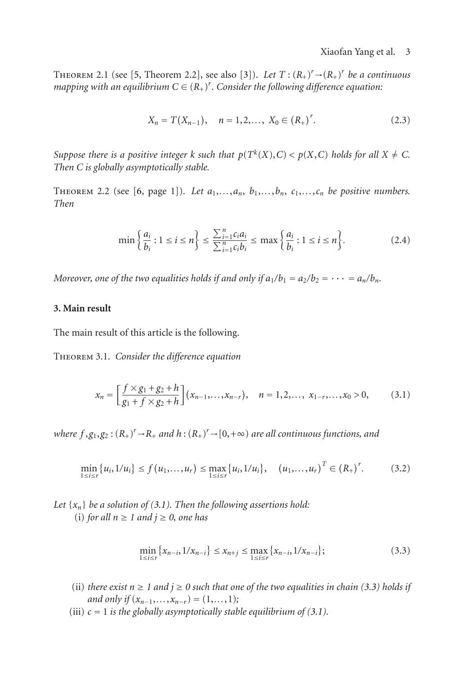<span id="page-2-4"></span>THEOREM 2.1 (see [\[5](#page-6-5), Theorem 2.2], see also [\[3](#page-6-3)]). Let  $T: (R_+)' \rightarrow (R_+)'$  be a continuous<br>mapping with an equilibrium  $C \in (R_+)^r$  Consider the following difference equation:  $m$ apping with an equilibrium  $C \in (R_+)^r$ . Consider the following difference equation:

$$
X_n = T(X_{n-1}), \quad n = 1, 2, ..., X_0 \in (R_+)^r. \tag{2.3}
$$

*Suppose there is a positive integer k such that*  $p(T^k(X), C) < p(X, C)$  *holds for all*  $X \neq C$ . *Then C is globally asymptotically stable.*

<span id="page-2-2"></span>THEOREM 2.2 (see [\[6,](#page-6-6) page 1]). Let  $a_1, \ldots, a_n, b_1, \ldots, b_n, c_1, \ldots, c_n$  be positive numbers. *Then*

$$
\min\left\{\frac{a_i}{b_i}: 1 \le i \le n\right\} \le \frac{\sum_{i=1}^n c_i a_i}{\sum_{i=1}^n c_i b_i} \le \max\left\{\frac{a_i}{b_i}: 1 \le i \le n\right\}.\tag{2.4}
$$

*Moreover, one of the two equalities holds if and only if*  $a_1/b_1 = a_2/b_2 = \cdots = a_n/b_n$ .

## **3. Main result**

<span id="page-2-5"></span>The main result of this article is the following.

Theorem 3.1. *Consider the difference equation*

<span id="page-2-0"></span>
$$
x_n = \left[\frac{f \times g_1 + g_2 + h}{g_1 + f \times g_2 + h}\right](x_{n-1}, \ldots, x_{n-r}), \quad n = 1, 2, \ldots, x_{1-r}, \ldots, x_0 > 0, \tag{3.1}
$$

*where*  $f, g_1, g_2 : (R_+)^r \to R_+$  *and*  $h : (R_+)^r \to [0, +\infty)$  *are all continuous functions, and* 

$$
\min_{1 \le i \le r} \{u_i, 1/u_i\} \le f(u_1, \dots, u_r) \le \max_{1 \le i \le r} \{u_i, 1/u_i\}, \quad (u_1, \dots, u_r)^T \in (R_+)^r. \tag{3.2}
$$

*Let*  $\{x_n\}$  *be a solution of [\(3.1\)](#page-2-0). Then the following assertions hold:* (i) *for all*  $n \ge 1$  *and*  $i \ge 0$ *, one has* 

<span id="page-2-3"></span><span id="page-2-1"></span>
$$
\min_{1 \le i \le r} \{x_{n-i}, 1/x_{n-i}\} \le x_{n+j} \le \max_{1 \le i \le r} \{x_{n-i}, 1/x_{n-i}\};\tag{3.3}
$$

- (ii) *there exist*  $n \ge 1$  *and*  $j \ge 0$  *such that one of the two equalities in chain* [\(3.3\)](#page-2-1) *holds if and only if*  $(x_{n-1},...,x_{n-r}) = (1,...,1)$ ;
- (iii)  $c = 1$  *is the globally asymptotically stable equilibrium of [\(3.1\)](#page-2-0).*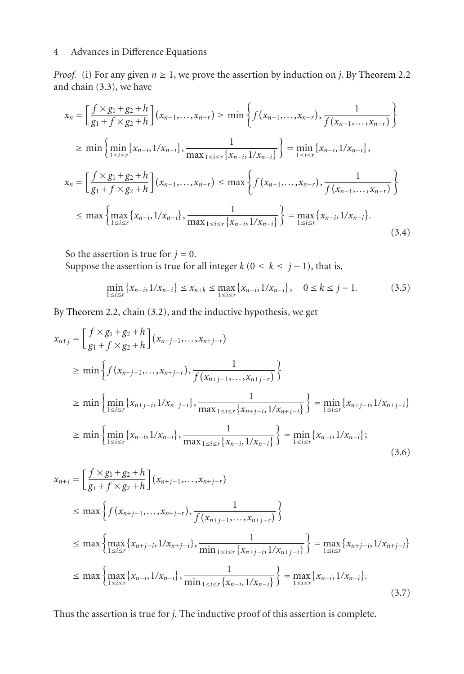# 4 Advances in Difference Equations

*Proof.* (i) For any given  $n \ge 1$ , we prove the assertion by induction on *j*. By [Theorem 2.2](#page-2-2) and chain [\(3.3\)](#page-2-1), we have

$$
x_{n} = \left[\frac{f \times g_{1} + g_{2} + h}{g_{1} + f \times g_{2} + h}\right](x_{n-1},...,x_{n-r}) \ge \min\left\{f(x_{n-1},...,x_{n-r}), \frac{1}{f(x_{n-1},...,x_{n-r})}\right\}
$$
  
\n
$$
\ge \min\left\{\min_{1 \le i \le r} \{x_{n-i}, 1/x_{n-i}\}, \frac{1}{\max_{1 \le i \le r} \{x_{n-i}, 1/x_{n-i}\}}\right\} = \min_{1 \le i \le r} \{x_{n-i}, 1/x_{n-i}\},
$$
  
\n
$$
x_{n} = \left[\frac{f \times g_{1} + g_{2} + h}{g_{1} + f \times g_{2} + h}\right](x_{n-1},...,x_{n-r}) \le \max\left\{f(x_{n-1},...,x_{n-r}), \frac{1}{f(x_{n-1},...,x_{n-r})}\right\}
$$
  
\n
$$
\le \max\left\{\max_{1 \le i \le r} \{x_{n-i}, 1/x_{n-i}\}, \frac{1}{\max_{1 \le i \le r} \{x_{n-i}, 1/x_{n-i}\}}\right\} = \max\left\{x_{n-i}, 1/x_{n-i}\}.
$$
  
\n(3.4)

So the assertion is true for  $j = 0$ . Suppose the assertion is true for all integer  $k$  ( $0 \le k \le j - 1$ ), that is,

<span id="page-3-0"></span>
$$
\min_{1 \le i \le r} \{x_{n-i}, 1/x_{n-i}\} \le x_{n+k} \le \max_{1 \le i \le r} \{x_{n-i}, 1/x_{n-i}\}, \quad 0 \le k \le j-1. \tag{3.5}
$$

By [Theorem 2.2,](#page-2-2) chain [\(3.2\)](#page-2-3), and the inductive hypothesis, we get

$$
x_{n+j} = \left[\frac{f \times g_1 + g_2 + h}{g_1 + f \times g_2 + h}\right](x_{n+j-1}, \ldots, x_{n+j-r})
$$
  
\n
$$
\geq \min \left\{ f(x_{n+j-1}, \ldots, x_{n+j-r}), \frac{1}{f(x_{n+j-1}, \ldots, x_{n+j-r})} \right\}
$$
  
\n
$$
\geq \min \left\{ \min_{1 \leq i \leq r} \{x_{n+j-i}, 1/x_{n+j-i}\}, \frac{1}{\max_{1 \leq i \leq r} \{x_{n+j-i}, 1/x_{n+j-i}\}} \right\} = \min \left\{ x_{n+j-i}, 1/x_{n+j-i} \right\}
$$
  
\n
$$
\geq \min \left\{ \min_{1 \leq i \leq r} \{x_{n-i}, 1/x_{n-i}\}, \frac{1}{\max_{1 \leq i \leq r} \{x_{n-i}, 1/x_{n-i}\}} \right\} = \min \left\{ x_{n-i}, 1/x_{n-i} \right\};
$$
\n(3.6)

$$
x_{n+j} = \left[\frac{f \times g_1 + g_2 + h}{g_1 + f \times g_2 + h}\right](x_{n+j-1}, \ldots, x_{n+j-r})
$$
  
\n
$$
\leq \max \left\{ f(x_{n+j-1}, \ldots, x_{n+j-r}), \frac{1}{f(x_{n+j-1}, \ldots, x_{n+j-r})} \right\}
$$
  
\n
$$
\leq \max \left\{ \max_{1 \leq i \leq r} \{x_{n+j-i}, \frac{1}{x_{n+j-i}}\}, \frac{1}{\min_{1 \leq i \leq r} \{x_{n+j-i}, \frac{1}{x_{n+j-i}}\}} \right\} = \max_{1 \leq i \leq r} \{x_{n+j-i}, \frac{1}{x_{n-j+1}}\}
$$
  
\n
$$
\leq \max \left\{ \max_{1 \leq i \leq r} \{x_{n-i}, \frac{1}{x_{n-i}}, \frac{1}{x_{n-i}}, \frac{1}{x_{n-i}}\} \right\} = \max_{1 \leq i \leq r} \{x_{n-i}, \frac{1}{x_{n-i}}\}.
$$
\n(3.7)

Thus the assertion is true for *j*. The inductive proof of this assertion is complete.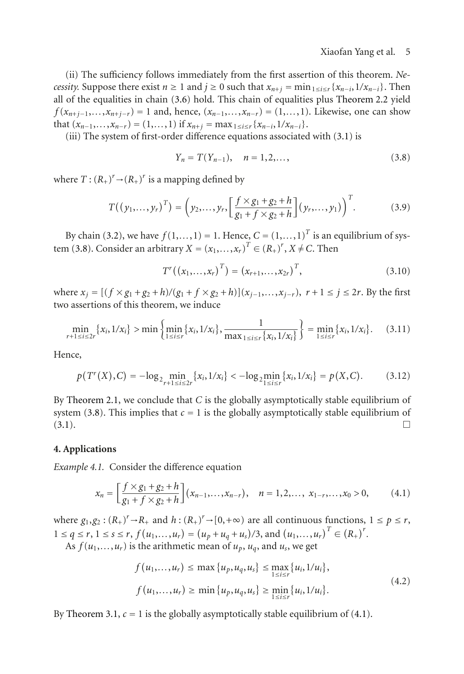(ii) The sufficiency follows immediately from the first assertion of this theorem. *Necessity.* Suppose there exist  $n \ge 1$  and  $j \ge 0$  such that  $x_{n+i} = \min_{1 \le i \le r} \{x_{n-i}, 1/x_{n-i}\}$ . Then all of the equalities in chain [\(3.6\)](#page-3-0) hold. This chain of equalities plus [Theorem 2.2](#page-2-2) yield *f* ( $x_{n+1-1},...,x_{n+1-r}$ ) = 1 and, hence, ( $x_{n-1},...,x_{n-r}$ ) = (1,...,1). Likewise, one can show that  $(x_{n-1},...,x_{n-r}) = (1,...,1)$  if  $x_{n+j} = \max_{1 \leq i \leq r} \{x_{n-i},1/x_{n-i}\}.$ 

(iii) The system of first-order difference equations associated with [\(3.1\)](#page-2-0) is

<span id="page-4-0"></span>
$$
Y_n = T(Y_{n-1}), \quad n = 1, 2, \dots,
$$
\n(3.8)

where  $T: (R_+)^r \rightarrow (R_+)^r$  is a mapping defined by

$$
T((y_1,...,y_r)^T) = \left(y_2,...,y_r,\left[\frac{f\times g_1+g_2+h}{g_1+f\times g_2+h}\right](y_r,...,y_1)\right)^T.
$$
 (3.9)

By chain [\(3.2\)](#page-2-3), we have  $f(1,...,1) = 1$ . Hence,  $C = (1,...,1)^T$  is an equilibrium of sys-tem [\(3.8\)](#page-4-0). Consider an arbitrary  $X = (x_1, \ldots, x_r)^T \in (R_+)^r$ ,  $X \neq C$ . Then

$$
T^{r}((x_{1},...,x_{r})^{T})=(x_{r+1},...,x_{2r})^{T}, \qquad (3.10)
$$

where  $x_j = [(f \times g_1 + g_2 + h)/(g_1 + f \times g_2 + h)](x_{j-1},...,x_{j-r}), r+1 ≤ j ≤ 2r$ . By the first two assertions of this theorem, we induce

$$
\min_{r+1 \le i \le 2r} \{x_i, 1/x_i\} > \min \left\{ \min_{1 \le i \le r} \{x_i, 1/x_i\}, \frac{1}{\max_{1 \le i \le r} \{x_i, 1/x_i\}} \right\} = \min_{1 \le i \le r} \{x_i, 1/x_i\}. \tag{3.11}
$$

Hence,

$$
p(T^{r}(X), C) = -\log_{2} \min_{r+1 \leq i \leq 2r} \{x_{i}, 1/x_{i}\} < -\log_{2} \min_{1 \leq i \leq r} \{x_{i}, 1/x_{i}\} = p(X, C). \tag{3.12}
$$

By [Theorem 2.1,](#page-2-4) we conclude that  $C$  is the globally asymptotically stable equilibrium of system [\(3.8\)](#page-4-0). This implies that  $c = 1$  is the globally asymptotically stable equilibrium of (3.1).  $(3.1).$  $(3.1).$ 

#### **4. Applications**

*Example 4.1.* Consider the difference equation

$$
x_n = \left[\frac{f \times g_1 + g_2 + h}{g_1 + f \times g_2 + h}\right](x_{n-1}, \ldots, x_{n-r}), \quad n = 1, 2, \ldots, x_{1-r}, \ldots, x_0 > 0, \tag{4.1}
$$

where  $g_1, g_2 : (R_+)^r \to R_+$  and  $h : (R_+)^r \to [0, +\infty)$  are all continuous functions,  $1 \le p \le r$ ,<br> $h \le q \le n, h \le r$ ,  $f(u_1, \ldots, u_n) \in (u_1 + u_2) / 2$  and  $(u_2, \ldots, u_n) \in (R_+)^r \times R_+$  $1 \le q \le r, 1 \le s \le r, f(u_1, \ldots, u_r) = (u_p + u_q + u_s)/3, \text{ and } (u_1, \ldots, u_r)^T \in (R_+)^T.$ <br>As  $f(u_1, \ldots, u_r)$  is the arithmetic mean of  $u_1, u_2$  and  $u_1$  we get

As  $f(u_1,...,u_r)$  is the arithmetic mean of  $u_p$ ,  $u_q$ , and  $u_s$ , we get

<span id="page-4-1"></span>
$$
f(u_1,...,u_r) \le \max\{u_p, u_q, u_s\} \le \max_{1 \le i \le r} \{u_i, 1/u_i\},
$$
  

$$
f(u_1,...,u_r) \ge \min\{u_p, u_q, u_s\} \ge \min_{1 \le i \le r} \{u_i, 1/u_i\}.
$$
 (4.2)

By [Theorem 3.1,](#page-2-5)  $c = 1$  is the globally asymptotically stable equilibrium of [\(4.1\)](#page-4-1).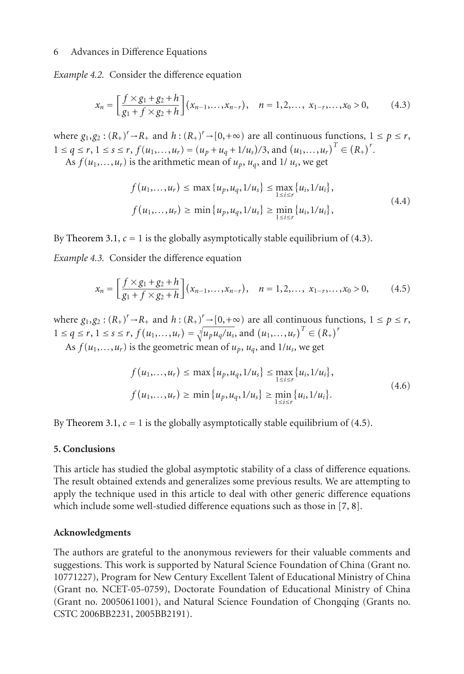#### 6 Advances in Difference Equations

*Example 4.2.* Consider the difference equation

$$
x_n = \left[\frac{f \times g_1 + g_2 + h}{g_1 + f \times g_2 + h}\right](x_{n-1}, \ldots, x_{n-r}), \quad n = 1, 2, \ldots, x_{1-r}, \ldots, x_0 > 0,\tag{4.3}
$$

where  $g_1, g_2 : (R_+)^r \to R_+$  and  $h : (R_+)^r \to [0, +\infty)$  are all continuous functions,  $1 \le p \le r$ ,<br> $h \le q \le r, h \le r$ ,  $f(u_1, u_2) = (u_1 + u_2 + 1/u_1)^r$  and  $(u_2, u_1)^T \in (R_+)^r$  $1 \le q \le r, 1 \le s \le r, f(u_1, \ldots, u_r) = (u_p + u_q + 1/u_s)/3, \text{ and } (u_1, \ldots, u_r)^T \in (R_+)^T.$ <br>As  $f(u_1, \ldots, u_r)$  is the arithmetic mean of  $u_1, u_2$  and  $1/u$ , we get

As  $f(u_1,...,u_r)$  is the arithmetic mean of  $u_p$ ,  $u_q$ , and 1/  $u_s$ , we get

<span id="page-5-0"></span>
$$
f(u_1,...,u_r) \le \max\{u_p, u_q, 1/u_s\} \le \max_{1 \le i \le r} \{u_i, 1/u_i\},
$$
  

$$
f(u_1,...,u_r) \ge \min\{u_p, u_q, 1/u_s\} \ge \min_{1 \le i \le r} \{u_i, 1/u_i\},
$$
 (4.4)

By [Theorem 3.1,](#page-2-5)  $c = 1$  is the globally asymptotically stable equilibrium of [\(4.3\)](#page-5-0).

*Example 4.3.* Consider the difference equation

$$
x_n = \left[\frac{f \times g_1 + g_2 + h}{g_1 + f \times g_2 + h}\right](x_{n-1}, \ldots, x_{n-r}), \quad n = 1, 2, \ldots, x_{1-r}, \ldots, x_0 > 0, \tag{4.5}
$$

where  $g_1, g_2 : (R_+)^r \to R_+$  and  $h : (R_+)$ <br>  $h \leq a \leq r, \quad h \leq a \leq r, \quad f(u, \ldots, u_r) = 3$  $r^r \rightarrow R_+$  and  $h: (R_+)^r \rightarrow [0,+\infty)$  are all continuous functions,  $1 \le p \le r$ ,<br> $r^r \left( \frac{du}{dx} \right) = \sqrt{u^r u^r}$  and  $\left( \frac{du}{dx} \right) = \frac{u^r}{dx} \left( \frac{p}{dx} \right)^r$  $1 \le q \le r, 1 \le s \le r, f(u_1, \ldots, u_r) = \sqrt[3]{u_p u_q/u_s}$ , and  $(u_1, \ldots, u_r)^T \in (R_+)^r$ <br>As  $f(u_1, \ldots, u_r)$  is the geometric mean of  $u_1, \ldots, u_r$  and  $1/u$ , we get

As  $f(u_1,...,u_r)$  is the geometric mean of  $u_p$ ,  $u_q$ , and  $1/u_s$ , we get

<span id="page-5-1"></span>
$$
f(u_1,...,u_r) \le \max\{u_p, u_q, 1/u_s\} \le \max_{1 \le i \le r} \{u_i, 1/u_i\},
$$
  

$$
f(u_1,...,u_r) \ge \min\{u_p, u_q, 1/u_s\} \ge \min_{1 \le i \le r} \{u_i, 1/u_i\}.
$$
 (4.6)

By [Theorem 3.1,](#page-2-5)  $c = 1$  is the globally asymptotically stable equilibrium of [\(4.5\)](#page-5-1).

#### **5. Conclusions**

This article has studied the global asymptotic stability of a class of difference equations. The result obtained extends and generalizes some previous results. We are attempting to apply the technique used in this article to deal with other generic difference equations which include some well-studied difference equations such as those in [\[7,](#page-6-7) [8](#page-6-8)].

#### **Acknowledgments**

The authors are grateful to the anonymous reviewers for their valuable comments and suggestions. This work is supported by Natural Science Foundation of China (Grant no. 10771227), Program for New Century Excellent Talent of Educational Ministry of China (Grant no. NCET-05-0759), Doctorate Foundation of Educational Ministry of China (Grant no. 20050611001), and Natural Science Foundation of Chongqing (Grants no. CSTC 2006BB2231, 2005BB2191).